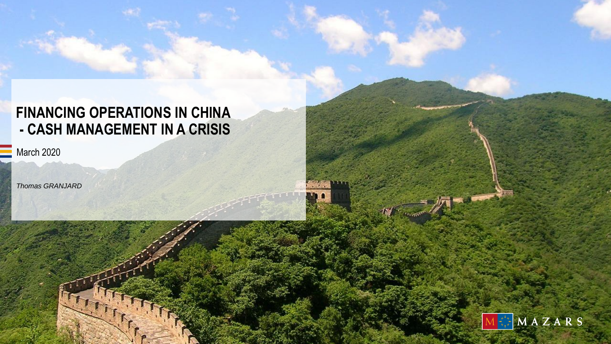# **FINANCING OPERATIONS IN CHINA - CASH MANAGEMENT IN A CRISIS**

March 2020

*Thomas GRANJARD*

 $r_{11}$ 

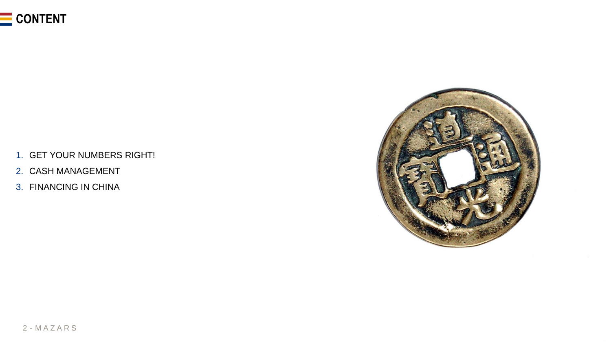

- 1. GET YOUR NUMBERS RIGHT!
- 2. CASH MANAGEMENT
- 3. FINANCING IN CHINA

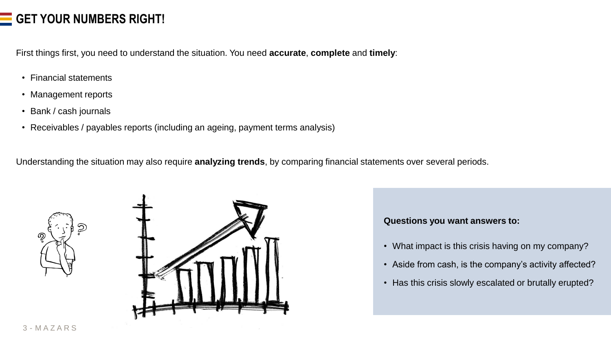## **GET YOUR NUMBERS RIGHT!**

First things first, you need to understand the situation. You need **accurate**, **complete** and **timely**:

- Financial statements
- Management reports
- Bank / cash journals
- Receivables / payables reports (including an ageing, payment terms analysis)

Understanding the situation may also require **analyzing trends**, by comparing financial statements over several periods.





### **Questions you want answers to:**

- What impact is this crisis having on my company?
- Aside from cash, is the company's activity affected?
- Has this crisis slowly escalated or brutally erupted?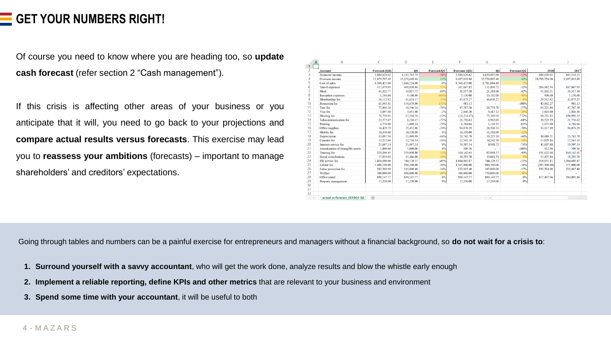### **GET YOUR NUMBERS RIGHT!**

Of course you need to know where you are heading too, so **update cash forecast** (refer section 2 "Cash management").

If this crisis is affecting other areas of your business or you anticipate that it will, you need to go back to your projections and **compare actual results versus forecasts**. This exercise may lead you to **reassess your ambitions** (forecasts) – important to manage shareholders' and creditors' expectations.

| A            | B                                 |               | D             |             |               | G             | н           |                |              |
|--------------|-----------------------------------|---------------|---------------|-------------|---------------|---------------|-------------|----------------|--------------|
| 1<br>2       | <b>Account</b>                    | Forecast (Q1) | O1            | Forecast/O1 | Forecast (Q2) | 02            | Forecast/Q2 | 2018           | 2017         |
| 3            | Domestic income                   | 5,889,629.62  | 4,142,765.79  | $-30%$      | 5,889,629.62  | 4,639,897.68  | $-21%$      | 889,629.62     | 885,310.15   |
|              | Overseas income                   | 11,879,707.49 | 13,259,649.46 | 12%         | 9,697,019.88  | 13,730,807.40 | 42%         | 10,799,734.08  | 9,697,019.88 |
| 5            | Cost of sales                     | 8.560,453.00  | 7.840.254.00  | $-8%$       | 8.560,453.00  | 8.781.084.48  | 3%          |                |              |
| 6            | <b>Travel expenses</b>            | 317,979.05    | 499.910.46    | 57%         | 167,047.95    | 111,899.72    | $-33%$      | 264.982.54     | 167,047.95   |
|              | Meal                              | 61,322.77     | 19,027.75     | $-69%$      | 36,557.30     | 21,311.08     | $-42%$      | 51,102.31      | 36,557.30    |
| 8            | Reception expenses                | 1.188.00      | 9.100.00      | 666%        | 5.130.00      | 10.192.00     | 99%         | 990.00         | 5.130.00     |
| 9            | Membership fee                    | 36,112.62     | 41,634.17     | 15%         | 43,875.27     | 46,630.27     | 6%          | 29,512.62      | 43,875.27    |
| 10           | Promotion fee                     | 65,943.41     | 154,679.00    | 135%        | 981.13        | ÷             | $-100%$     | 43,962.27      | 981.13       |
| 11           | Taxi fee                          | 75,866.26     | 18,546.16     | $-76%$      | 47,767.50     | 20,771.70     | $-57%$      | 63,221.88      | 47,767.50    |
| 12           | Visa fee                          | 3,097.60      | 3,051.00      | $-2%$       | 2,846.30      | 3,417.12      | 20%         | 2,816.00       | 2,846.30     |
| 13           | Meeting fee                       | 76,738.01     | 67,294.56     | $-12%$      | (11, 214.47)  | 75,369.91     | $-772%$     | 69,761.83      | 690,992.53   |
| 14           | Telecommunication fee             | 22,575.07     | 6.216.15      | $-72%$      | 21.756.62     | 6,962.09      | $-68%$      | 20,522.79      | 21,756.62    |
| 15           | Printing                          | 4,770.00      | 1,009.24      | $-79%$      | 6,784.04      | 1.130.35      | $-83%$      | 3.975.00       | 6,784.04     |
| 16           | Office supplies                   | 36,429.79     | 25,452.06     | $-30%$      | 94,076.29     | 28,506.31     | $-70%$      | 33,117.99      | 94,076.29    |
| 17           | Mobile fee                        | 10.350.00     | 10.350.00     | 0%          | 10.350.00     | 11.592.00     | 12%         |                |              |
| 18           | Depreciation                      | 33,097.36     | 11.809.99     | $-64%$      | 23,742.78     | 13,227.19     | $-44%$      | 30,088.51      | 23,742.78    |
| 19           | Courrier fee                      | 15,212.08     | 12,716.34     | $-16%$      | 12,543.19     | 14,242.30     | 14%         | 13,829.16      | 12,543.19    |
| 20           | Internet service fee              | 21,607.14     | 21,607.14     | 0%          | 19,307.14     | 4,941.73      | $-74%$      | 41,607.80      | 19,307.14    |
| 21           | Amortization of intangible assets | 1,000.00      | 1,000.00      | 0%          | 509.36        |               | $-100%$     | 112.96         | 509.36       |
| 22           | Training fee                      | 229,946.45    | 259,050.00    | 13%         | 164,142.65    | 82,968.37     | $-49%$      | 191,622.04     | 164,142.65   |
| 23           | Social contributions              | 17,019.02     | 25,486.00     | 50%         | 18,291.70     | 19,061.31     | $4^{0}$     | 15,471.84      | 18,291.70    |
| 24           | HR service fee                    | 1,458,600.00  | 744,128.37    | $-49%$      | 1,084,603.87  | 744,128.37    | $-31%$      | 910,071.11     | 1,084,603.87 |
| 25           | Labour fee                        | 1,409,100.00  | 980,560.00    | $-30%$      | 1.167.000.00  | 980,560.00    | $-16%$      | (207, 300, 00) | 575,000.00   |
| 26           | Labor protection fee              | 282,388.90    | 185,000.00    | $-34%$      | 222,947.40    | 185,000.00    | $-17%$      | 235,324.08     | 222,947.40   |
| 27           | Welfare                           | 500,000.00    | 800,000.00    | 60%         | 500,000.00    | 750,000.00    | 50%         |                |              |
| 28           | Office rental                     | 899.147.77    | 899.147.77    | 0%          | 899.147.77    | 899.147.77    | 0%          | 817,407.06     | 584.091.88   |
| 29           | Property management               | 17,250.00     | 17.250.00     | 0%          | 17,250.00     | 17,250.00     | 0%          | $\mathbf{r}$   |              |
| 30           |                                   |               |               |             |               |               |             |                |              |
| 31           |                                   |               |               |             |               |               |             |                |              |
| 32           |                                   |               |               |             |               |               |             |                |              |
| $\leftarrow$ | actual vs forecast 2019Q1-Q2      | $\bigoplus$   |               |             |               | $\frac{1}{2}$ |             |                |              |

Going through tables and numbers can be a painful exercise for entrepreneurs and managers without a financial background, so **do not wait for a crisis to**:

- **1. Surround yourself with a savvy accountant**, who will get the work done, analyze results and blow the whistle early enough
- **2. Implement a reliable reporting, define KPIs and other metrics** that are relevant to your business and environment
- **3. Spend some time with your accountant**, it will be useful to both

#### 4 - M A Z A R S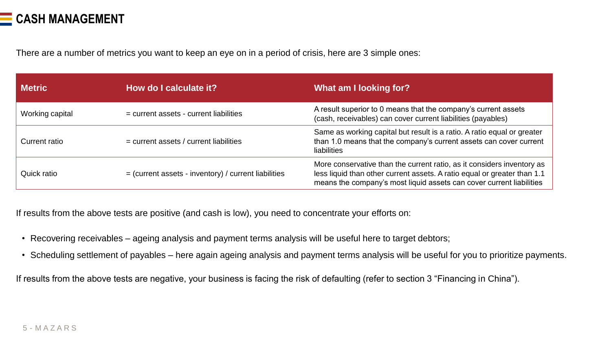

There are a number of metrics you want to keep an eye on in a period of crisis, here are 3 simple ones:

| <b>Metric</b>   | How do I calculate it?                                 | What am I looking for?                                                                                                                                                                                                     |
|-----------------|--------------------------------------------------------|----------------------------------------------------------------------------------------------------------------------------------------------------------------------------------------------------------------------------|
| Working capital | = current assets - current liabilities                 | A result superior to 0 means that the company's current assets<br>(cash, receivables) can cover current liabilities (payables)                                                                                             |
| Current ratio   | $=$ current assets / current liabilities               | Same as working capital but result is a ratio. A ratio equal or greater<br>than 1.0 means that the company's current assets can cover current<br><b>liabilities</b>                                                        |
| Quick ratio     | $=$ (current assets - inventory) / current liabilities | More conservative than the current ratio, as it considers inventory as<br>less liquid than other current assets. A ratio equal or greater than 1.1<br>means the company's most liquid assets can cover current liabilities |

If results from the above tests are positive (and cash is low), you need to concentrate your efforts on:

- Recovering receivables ageing analysis and payment terms analysis will be useful here to target debtors;
- Scheduling settlement of payables here again ageing analysis and payment terms analysis will be useful for you to prioritize payments.

If results from the above tests are negative, your business is facing the risk of defaulting (refer to section 3 "Financing in China").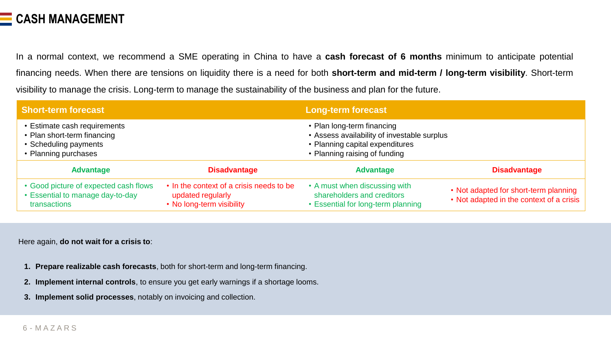

In a normal context, we recommend a SME operating in China to have a **cash forecast of 6 months** minimum to anticipate potential financing needs. When there are tensions on liquidity there is a need for both **short-term and mid-term / long-term visibility**. Short-term visibility to manage the crisis. Long-term to manage the sustainability of the business and plan for the future.

| <b>Short-term forecast</b>                                                                                   |                                                                                            | <b>Long-term forecast</b>                                                                                                                     |                                                                                   |  |  |
|--------------------------------------------------------------------------------------------------------------|--------------------------------------------------------------------------------------------|-----------------------------------------------------------------------------------------------------------------------------------------------|-----------------------------------------------------------------------------------|--|--|
| • Estimate cash requirements<br>• Plan short-term financing<br>• Scheduling payments<br>• Planning purchases |                                                                                            | • Plan long-term financing<br>• Assess availability of investable surplus<br>• Planning capital expenditures<br>• Planning raising of funding |                                                                                   |  |  |
| <b>Advantage</b>                                                                                             | <b>Disadvantage</b>                                                                        | <b>Advantage</b>                                                                                                                              | <b>Disadvantage</b>                                                               |  |  |
| • Good picture of expected cash flows<br>• Essential to manage day-to-day<br>transactions                    | • In the context of a crisis needs to be<br>updated regularly<br>• No long-term visibility | • A must when discussing with<br>shareholders and creditors<br>• Essential for long-term planning                                             | • Not adapted for short-term planning<br>• Not adapted in the context of a crisis |  |  |

Here again, **do not wait for a crisis to**:

- **1. Prepare realizable cash forecasts**, both for short-term and long-term financing.
- **2. Implement internal controls**, to ensure you get early warnings if a shortage looms.
- **3. Implement solid processes**, notably on invoicing and collection.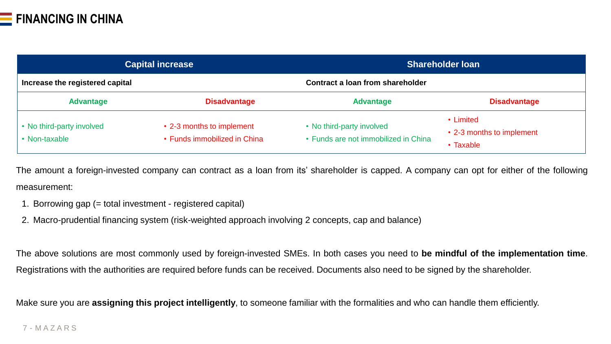

|                                            | <b>Capital increase</b>                                   | <b>Shareholder loan</b>                                           |                                                     |  |  |
|--------------------------------------------|-----------------------------------------------------------|-------------------------------------------------------------------|-----------------------------------------------------|--|--|
| Increase the registered capital            |                                                           | Contract a loan from shareholder                                  |                                                     |  |  |
| <b>Advantage</b>                           | <b>Disadvantage</b>                                       | <b>Advantage</b>                                                  | <b>Disadvantage</b>                                 |  |  |
| • No third-party involved<br>• Non-taxable | • 2-3 months to implement<br>• Funds immobilized in China | • No third-party involved<br>• Funds are not immobilized in China | • Limited<br>• 2-3 months to implement<br>• Taxable |  |  |

The amount a foreign-invested company can contract as a loan from its' shareholder is capped. A company can opt for either of the following measurement:

- 1. Borrowing gap (= total investment registered capital)
- 2. Macro-prudential financing system (risk-weighted approach involving 2 concepts, cap and balance)

The above solutions are most commonly used by foreign-invested SMEs. In both cases you need to **be mindful of the implementation time**. Registrations with the authorities are required before funds can be received. Documents also need to be signed by the shareholder.

Make sure you are **assigning this project intelligently**, to someone familiar with the formalities and who can handle them efficiently.

### 7 - M A Z A R S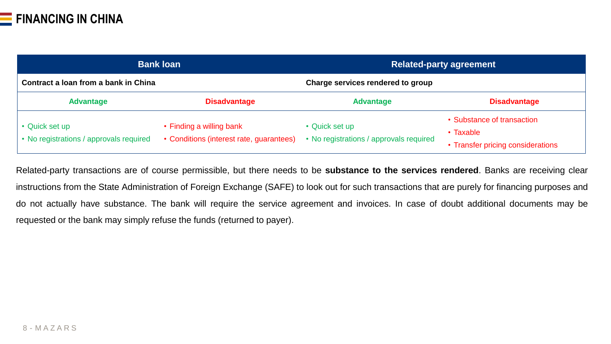|                                                           | <b>Bank loan</b>                                                     | <b>Related-party agreement</b>                            |                                                                              |  |  |
|-----------------------------------------------------------|----------------------------------------------------------------------|-----------------------------------------------------------|------------------------------------------------------------------------------|--|--|
| Contract a loan from a bank in China                      |                                                                      | Charge services rendered to group                         |                                                                              |  |  |
| <b>Advantage</b>                                          | <b>Disadvantage</b>                                                  | <b>Advantage</b>                                          | <b>Disadvantage</b>                                                          |  |  |
| • Quick set up<br>• No registrations / approvals required | • Finding a willing bank<br>• Conditions (interest rate, guarantees) | • Quick set up<br>• No registrations / approvals required | • Substance of transaction<br>• Taxable<br>• Transfer pricing considerations |  |  |

Related-party transactions are of course permissible, but there needs to be **substance to the services rendered**. Banks are receiving clear instructions from the State Administration of Foreign Exchange (SAFE) to look out for such transactions that are purely for financing purposes and do not actually have substance. The bank will require the service agreement and invoices. In case of doubt additional documents may be requested or the bank may simply refuse the funds (returned to payer).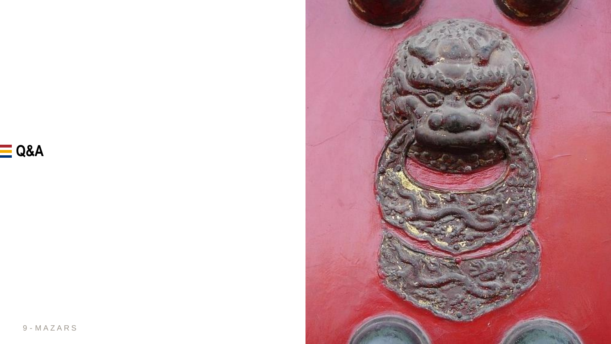